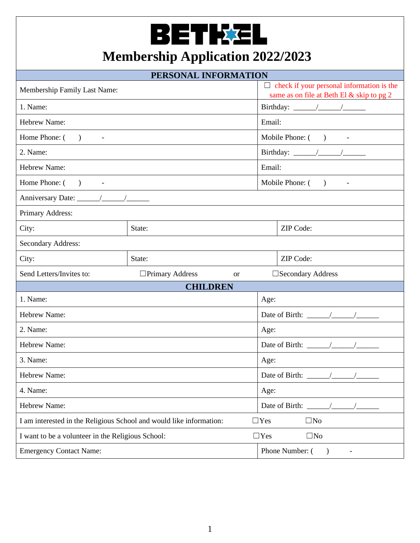## BETKEL

## **Membership Application 2022/2023**

| PERSONAL INFORMATION                                                                              |                                         |                                                                                               |  |  |  |  |  |
|---------------------------------------------------------------------------------------------------|-----------------------------------------|-----------------------------------------------------------------------------------------------|--|--|--|--|--|
| Membership Family Last Name:                                                                      |                                         | $\Box$ check if your personal information is the<br>same as on file at Beth El & skip to pg 2 |  |  |  |  |  |
| 1. Name:                                                                                          |                                         |                                                                                               |  |  |  |  |  |
| Hebrew Name:                                                                                      |                                         | Email:                                                                                        |  |  |  |  |  |
| Home Phone: $($ ) -                                                                               |                                         | Mobile Phone: ( ) -                                                                           |  |  |  |  |  |
| 2. Name:                                                                                          |                                         |                                                                                               |  |  |  |  |  |
| Hebrew Name:                                                                                      |                                         | Email:                                                                                        |  |  |  |  |  |
| Home Phone: ()<br>$\overline{\phantom{a}}$                                                        |                                         | Mobile Phone: ()                                                                              |  |  |  |  |  |
|                                                                                                   |                                         |                                                                                               |  |  |  |  |  |
| Primary Address:                                                                                  |                                         |                                                                                               |  |  |  |  |  |
| City:                                                                                             | State:                                  | ZIP Code:                                                                                     |  |  |  |  |  |
| Secondary Address:                                                                                |                                         |                                                                                               |  |  |  |  |  |
| City:                                                                                             | State:                                  | ZIP Code:                                                                                     |  |  |  |  |  |
| Send Letters/Invites to:                                                                          | $\Box$ Primary Address<br><sub>or</sub> | □ Secondary Address                                                                           |  |  |  |  |  |
| <b>CHILDREN</b>                                                                                   |                                         |                                                                                               |  |  |  |  |  |
| 1. Name:                                                                                          | Age:                                    |                                                                                               |  |  |  |  |  |
| <b>Hebrew Name:</b>                                                                               | Date of Birth: $\frac{\sqrt{2}}{2}$     |                                                                                               |  |  |  |  |  |
| 2. Name:                                                                                          | Age:                                    |                                                                                               |  |  |  |  |  |
| <b>Hebrew Name:</b>                                                                               |                                         |                                                                                               |  |  |  |  |  |
| 3. Name:                                                                                          | Age:                                    |                                                                                               |  |  |  |  |  |
| Hebrew Name:                                                                                      |                                         |                                                                                               |  |  |  |  |  |
| 4. Name:                                                                                          | Age:                                    |                                                                                               |  |  |  |  |  |
| <b>Hebrew Name:</b>                                                                               | Date of Birth: $\frac{\ }{\ }$          |                                                                                               |  |  |  |  |  |
| I am interested in the Religious School and would like information:<br>$\square$ No<br>$\Box$ Yes |                                         |                                                                                               |  |  |  |  |  |
| $\Box$ Yes<br>$\square$ No<br>I want to be a volunteer in the Religious School:                   |                                         |                                                                                               |  |  |  |  |  |
| <b>Emergency Contact Name:</b>                                                                    |                                         | Phone Number: (<br>$\rightarrow$                                                              |  |  |  |  |  |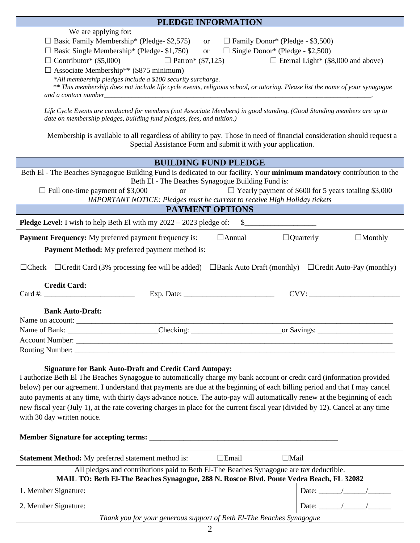| PLEDGE INFORMATION                                                                                                                                                                                                                                                                                                                                                                                                                                                                                                                                                                                                                                                                                                                                                                                                                                                                                                                                                                                    |                                                                           |  |  |  |  |  |  |
|-------------------------------------------------------------------------------------------------------------------------------------------------------------------------------------------------------------------------------------------------------------------------------------------------------------------------------------------------------------------------------------------------------------------------------------------------------------------------------------------------------------------------------------------------------------------------------------------------------------------------------------------------------------------------------------------------------------------------------------------------------------------------------------------------------------------------------------------------------------------------------------------------------------------------------------------------------------------------------------------------------|---------------------------------------------------------------------------|--|--|--|--|--|--|
| We are applying for:<br>$\Box$ Basic Family Membership* (Pledge-\$2,575)<br>$\Box$ Family Donor* (Pledge - \$3,500)<br><sub>or</sub><br>$\Box$ Basic Single Membership* (Pledge-\$1,750)<br>$\Box$ Single Donor* (Pledge - \$2,500)<br><b>or</b><br>$\Box$ Contributor* (\$5,000) $\Box$ Patron* (\$7,125)<br>$\Box$ Eternal Light* (\$8,000 and above)<br>$\Box$ Associate Membership** (\$875 minimum)<br>*All membership pledges include a \$100 security surcharge.<br>** This membership does not include life cycle events, religious school, or tutoring. Please list the name of your synagogue<br>Life Cycle Events are conducted for members (not Associate Members) in good standing. (Good Standing members are up to<br>date on membership pledges, building fund pledges, fees, and tuition.)<br>Membership is available to all regardless of ability to pay. Those in need of financial consideration should request a<br>Special Assistance Form and submit it with your application. |                                                                           |  |  |  |  |  |  |
| <b>BUILDING FUND PLEDGE</b>                                                                                                                                                                                                                                                                                                                                                                                                                                                                                                                                                                                                                                                                                                                                                                                                                                                                                                                                                                           |                                                                           |  |  |  |  |  |  |
| Beth El - The Beaches Synagogue Building Fund is dedicated to our facility. Your minimum mandatory contribution to the<br>Beth El - The Beaches Synagogue Building Fund is:<br>$\Box$ Full one-time payment of \$3,000<br>$\Box$ Yearly payment of \$600 for 5 years totaling \$3,000<br><b>or</b><br><b>IMPORTANT NOTICE: Pledges must be current to receive High Holiday tickets</b>                                                                                                                                                                                                                                                                                                                                                                                                                                                                                                                                                                                                                |                                                                           |  |  |  |  |  |  |
| <b>PAYMENT OPTIONS</b>                                                                                                                                                                                                                                                                                                                                                                                                                                                                                                                                                                                                                                                                                                                                                                                                                                                                                                                                                                                |                                                                           |  |  |  |  |  |  |
| <b>Pledge Level:</b> I wish to help Beth El with my $2022 - 2023$ pledge of:<br>$\mathbb{S}$                                                                                                                                                                                                                                                                                                                                                                                                                                                                                                                                                                                                                                                                                                                                                                                                                                                                                                          |                                                                           |  |  |  |  |  |  |
| $\Box$ Annual<br><b>Payment Frequency:</b> My preferred payment frequency is:<br>Payment Method: My preferred payment method is:                                                                                                                                                                                                                                                                                                                                                                                                                                                                                                                                                                                                                                                                                                                                                                                                                                                                      | $\Box$ Quarterly<br>$\Box$ Monthly                                        |  |  |  |  |  |  |
| $\Box$ Check $\Box$ Credit Card (3% processing fee will be added)<br><b>Credit Card:</b><br>Exp. Date: $\frac{1}{2}$ Exp. Date:<br><b>Bank Auto-Draft:</b><br>Name on account:                                                                                                                                                                                                                                                                                                                                                                                                                                                                                                                                                                                                                                                                                                                                                                                                                        | $\Box$ Bank Auto Draft (monthly) $\Box$ Credit Auto-Pay (monthly)<br>CVV: |  |  |  |  |  |  |
|                                                                                                                                                                                                                                                                                                                                                                                                                                                                                                                                                                                                                                                                                                                                                                                                                                                                                                                                                                                                       |                                                                           |  |  |  |  |  |  |
| Account Number: <u>New York: Account Number</u><br><b>Signature for Bank Auto-Draft and Credit Card Autopay:</b><br>I authorize Beth El The Beaches Synagogue to automatically charge my bank account or credit card (information provided<br>below) per our agreement. I understand that payments are due at the beginning of each billing period and that I may cancel<br>auto payments at any time, with thirty days advance notice. The auto-pay will automatically renew at the beginning of each<br>new fiscal year (July 1), at the rate covering charges in place for the current fiscal year (divided by 12). Cancel at any time<br>with 30 day written notice.                                                                                                                                                                                                                                                                                                                              |                                                                           |  |  |  |  |  |  |
| <b>Statement Method:</b> My preferred statement method is:<br>$\Box$ Email<br>$\Box$ Mail                                                                                                                                                                                                                                                                                                                                                                                                                                                                                                                                                                                                                                                                                                                                                                                                                                                                                                             |                                                                           |  |  |  |  |  |  |
| All pledges and contributions paid to Beth El-The Beaches Synagogue are tax deductible.<br>MAIL TO: Beth El-The Beaches Synagogue, 288 N. Roscoe Blvd. Ponte Vedra Beach, FL 32082                                                                                                                                                                                                                                                                                                                                                                                                                                                                                                                                                                                                                                                                                                                                                                                                                    |                                                                           |  |  |  |  |  |  |
| 1. Member Signature:                                                                                                                                                                                                                                                                                                                                                                                                                                                                                                                                                                                                                                                                                                                                                                                                                                                                                                                                                                                  |                                                                           |  |  |  |  |  |  |
| 2. Member Signature:                                                                                                                                                                                                                                                                                                                                                                                                                                                                                                                                                                                                                                                                                                                                                                                                                                                                                                                                                                                  |                                                                           |  |  |  |  |  |  |
| Thank you for your generous support of Beth El-The Beaches Synagogue                                                                                                                                                                                                                                                                                                                                                                                                                                                                                                                                                                                                                                                                                                                                                                                                                                                                                                                                  |                                                                           |  |  |  |  |  |  |